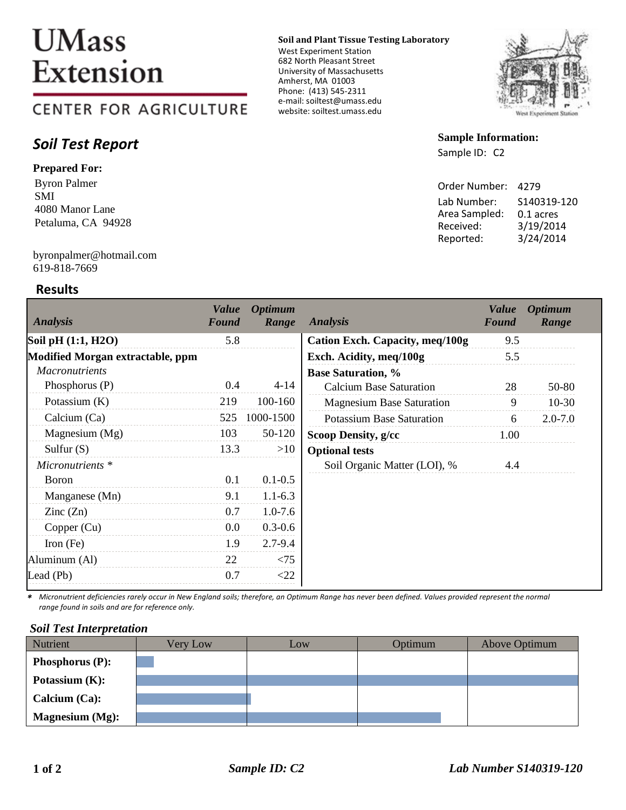# **UMass** Extension

# **CENTER FOR AGRICULTURE**

# *Soil Test Report*

## **Prepared For:**

Byron Palmer SMI 4080 Manor Lane Petaluma, CA 94928

#### 619-818-7669 byronpalmer@hotmail.com

## **Results**

#### **Soil and Plant Tissue Testing Laboratory**

West Experiment Station 682 North Pleasant Street University of Massachusetts Amherst, MA 01003 Phone: (413) 545-2311 e-mail: soiltest@umass.edu website: soiltest.umass.edu



### **Sample Information:**

Sample ID: C2

| Order Number: | 4279        |
|---------------|-------------|
| Lab Number:   | S140319-120 |
| Area Sampled: | 0.1 acres   |
| Received:     | 3/19/2014   |
| Reported:     | 3/24/2014   |

| <b>Analysis</b>                  | <b>Value</b><br>Found | <b>Optimum</b><br>Range | <b>Analysis</b>                        | <b>Value</b><br>Found | <b>Optimum</b><br>Range |
|----------------------------------|-----------------------|-------------------------|----------------------------------------|-----------------------|-------------------------|
| Soil pH (1:1, H2O)               | 5.8                   |                         | <b>Cation Exch. Capacity, meq/100g</b> | 9.5                   |                         |
| Modified Morgan extractable, ppm |                       |                         | Exch. Acidity, meq/100g                | 5.5                   |                         |
| <b>Macronutrients</b>            |                       |                         | <b>Base Saturation, %</b>              |                       |                         |
| Phosphorus $(P)$                 | 0.4                   | $4 - 14$                | <b>Calcium Base Saturation</b>         | 28                    | 50-80                   |
| Potassium $(K)$                  | 219                   | 100-160                 | <b>Magnesium Base Saturation</b>       | 9                     | $10-30$                 |
| Calcium (Ca)                     | 525                   | 1000-1500               | <b>Potassium Base Saturation</b>       | 6                     | $2.0 - 7.0$             |
| Magnesium (Mg)                   | 103                   | 50-120                  | Scoop Density, g/cc                    | 1.00                  |                         |
| Sulfur $(S)$                     | 13.3                  | >10                     | <b>Optional tests</b>                  |                       |                         |
| Micronutrients *                 |                       |                         | Soil Organic Matter (LOI), %           | 4.4                   |                         |
| <b>Boron</b>                     | 0.1                   | $0.1 - 0.5$             |                                        |                       |                         |
| Manganese (Mn)                   | 9.1                   | $1.1 - 6.3$             |                                        |                       |                         |
| $\text{Zinc}(\text{Zn})$         | 0.7                   | $1.0 - 7.6$             |                                        |                       |                         |
| Copper (Cu)                      | 0.0                   | $0.3 - 0.6$             |                                        |                       |                         |
| Iron $(Fe)$                      | 1.9                   | $2.7 - 9.4$             |                                        |                       |                         |
| Aluminum (Al)                    | 22                    | < 75                    |                                        |                       |                         |
| Lead (Pb)                        | 0.7                   | $<$ 22                  |                                        |                       |                         |

*\* Micronutrient deficiencies rarely occur in New England soils; therefore, an Optimum Range has never been defined. Values provided represent the normal range found in soils and are for reference only.* 

### *Soil Test Interpretation*

| Nutrient               | Very Low | Low | Optimum | Above Optimum |
|------------------------|----------|-----|---------|---------------|
| <b>Phosphorus (P):</b> |          |     |         |               |
| Potassium $(K)$ :      |          |     |         |               |
| Calcium $(Ca)$ :       |          |     |         |               |
| <b>Magnesium</b> (Mg): |          |     |         |               |